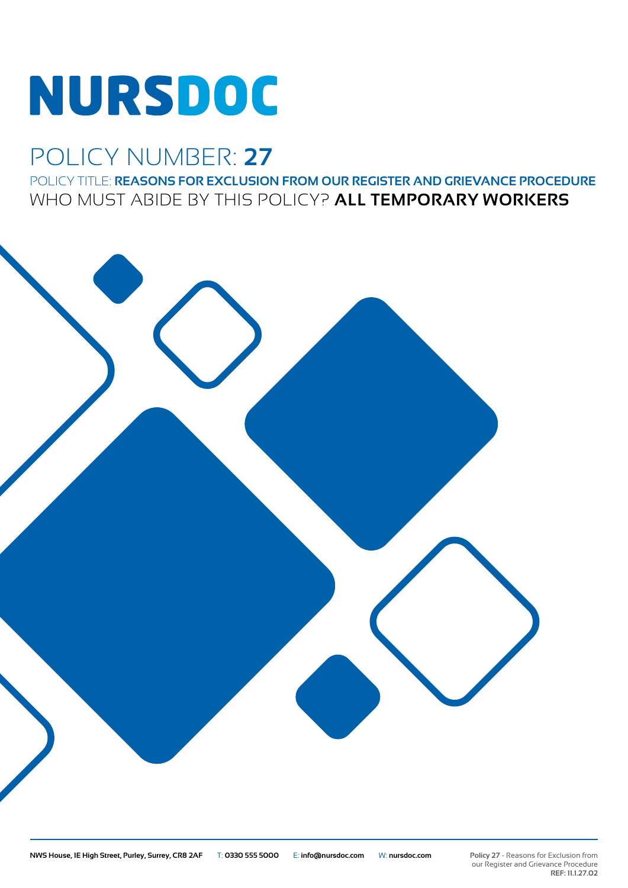# **NURSDOC**

## POLICY NUMBER: **27**

POLICY TITLE: **REASONS FOR EXCLUSION FROM OUR REGISTER AND GRIEVANCE PROCEDURE** WHO MUST ABIDE BY THIS POLICY? **ALL TEMPORARY WORKERS**